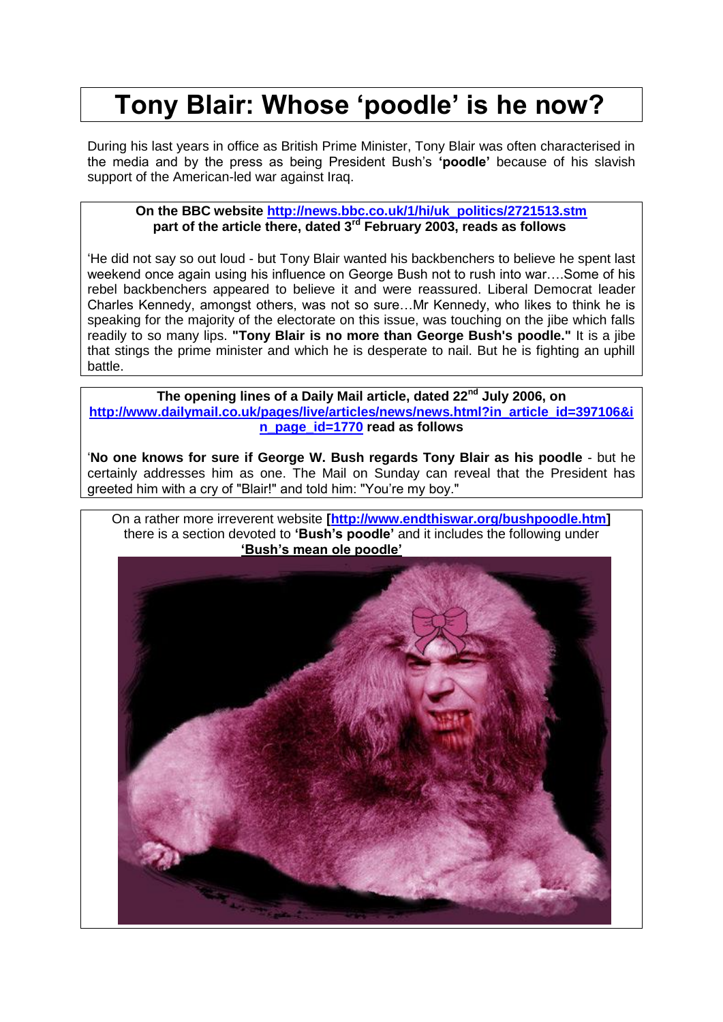# **Tony Blair: Whose 'poodle' is he now?**

During his last years in office as British Prime Minister, Tony Blair was often characterised in the media and by the press as being President Bush's **'poodle'** because of his slavish support of the American-led war against Iraq.

## **On the BBC website [http://news.bbc.co.uk/1/hi/uk\\_politics/2721513.stm](http://news.bbc.co.uk/1/hi/uk_politics/2721513.stm) part of the article there, dated 3rd February 2003, reads as follows**

'He did not say so out loud - but Tony Blair wanted his backbenchers to believe he spent last weekend once again using his influence on George Bush not to rush into war….Some of his rebel backbenchers appeared to believe it and were reassured. Liberal Democrat leader Charles Kennedy, amongst others, was not so sure…Mr Kennedy, who likes to think he is speaking for the majority of the electorate on this issue, was touching on the jibe which falls readily to so many lips. **"Tony Blair is no more than George Bush's poodle."** It is a jibe that stings the prime minister and which he is desperate to nail. But he is fighting an uphill battle.

**The opening lines of a Daily Mail article, dated 22nd July 2006, on [http://www.dailymail.co.uk/pages/live/articles/news/news.html?in\\_article\\_id=397106&i](http://www.dailymail.co.uk/pages/live/articles/news/news.html?in_article_id=397106&in_page_id=1770) [n\\_page\\_id=1770](http://www.dailymail.co.uk/pages/live/articles/news/news.html?in_article_id=397106&in_page_id=1770) read as follows**

'**No one knows for sure if George W. Bush regards Tony Blair as his poodle** - but he certainly addresses him as one. The Mail on Sunday can reveal that the President has greeted him with a cry of "Blair!" and told him: "You're my boy."

On a rather more irreverent website **[\[http://www.endthiswar.org/bushpoodle.htm\]](http://www.endthiswar.org/bushpoodle.htm)** there is a section devoted to **'Bush's poodle'** and it includes the following under 'Bush's mean ole poodle'

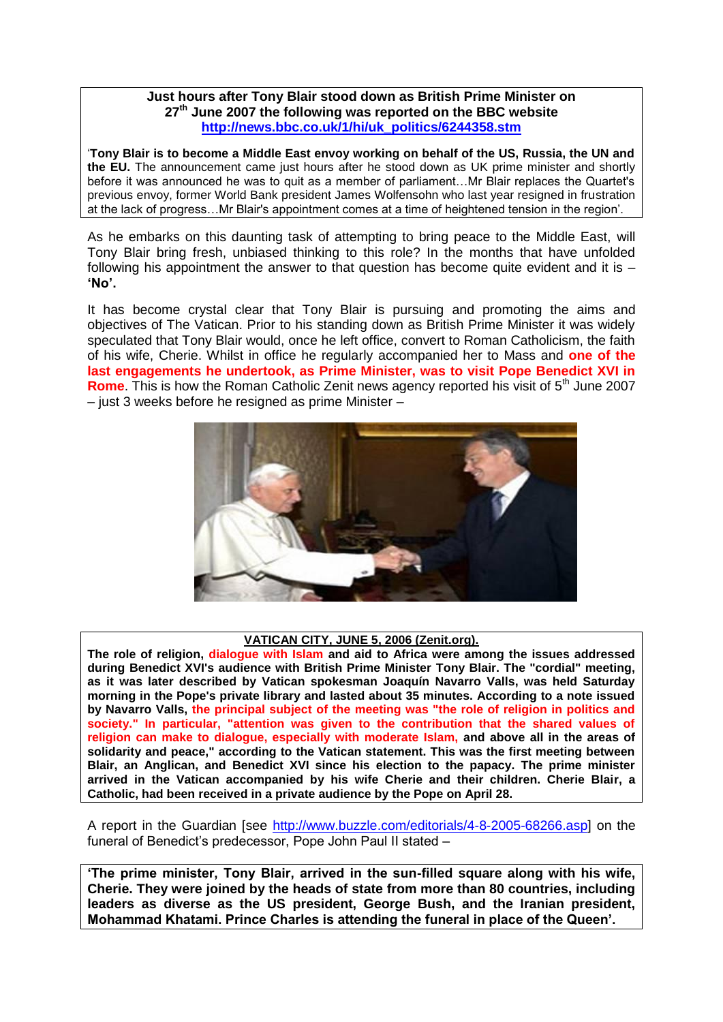## **Just hours after Tony Blair stood down as British Prime Minister on 27th June 2007 the following was reported on the BBC website [http://news.bbc.co.uk/1/hi/uk\\_politics/6244358.stm](http://news.bbc.co.uk/1/hi/uk_politics/6244358.stm)**

'**Tony Blair is to become a Middle East envoy working on behalf of the US, Russia, the UN and the EU.** The announcement came just hours after he stood down as UK prime minister and shortly before it was announced he was to quit as a member of parliament…Mr Blair replaces the Quartet's previous envoy, former World Bank president James Wolfensohn who last year resigned in frustration at the lack of progress…Mr Blair's appointment comes at a time of heightened tension in the region'.

As he embarks on this daunting task of attempting to bring peace to the Middle East, will Tony Blair bring fresh, unbiased thinking to this role? In the months that have unfolded following his appointment the answer to that question has become quite evident and it is  $-$ **'No'.**

It has become crystal clear that Tony Blair is pursuing and promoting the aims and objectives of The Vatican. Prior to his standing down as British Prime Minister it was widely speculated that Tony Blair would, once he left office, convert to Roman Catholicism, the faith of his wife, Cherie. Whilst in office he regularly accompanied her to Mass and **one of the last engagements he undertook, as Prime Minister, was to visit Pope Benedict XVI in Rome**. This is how the Roman Catholic Zenit news agency reported his visit of 5<sup>th</sup> June 2007 – just 3 weeks before he resigned as prime Minister –



### **VATICAN CITY, JUNE 5, 2006 (Zenit.org).**

**The role of religion, dialogue with Islam and aid to Africa were among the issues addressed during Benedict XVI's audience with British Prime Minister Tony Blair. The "cordial" meeting, as it was later described by Vatican spokesman Joaquín Navarro Valls, was held Saturday morning in the Pope's private library and lasted about 35 minutes. According to a note issued by Navarro Valls, the principal subject of the meeting was "the role of religion in politics and society." In particular, "attention was given to the contribution that the shared values of religion can make to dialogue, especially with moderate Islam, and above all in the areas of solidarity and peace," according to the Vatican statement. This was the first meeting between Blair, an Anglican, and Benedict XVI since his election to the papacy. The prime minister arrived in the Vatican accompanied by his wife Cherie and their children. Cherie Blair, a Catholic, had been received in a private audience by the Pope on April 28.**

A report in the Guardian [see [http://www.buzzle.com/editorials/4-8-2005-68266.asp\]](http://www.buzzle.com/editorials/4-8-2005-68266.asp) on the funeral of Benedict's predecessor, Pope John Paul II stated –

**'The prime minister, Tony Blair, arrived in the sun-filled square along with his wife, Cherie. They were joined by the heads of state from more than 80 countries, including leaders as diverse as the US president, George Bush, and the Iranian president, Mohammad Khatami. Prince Charles is attending the funeral in place of the Queen'.**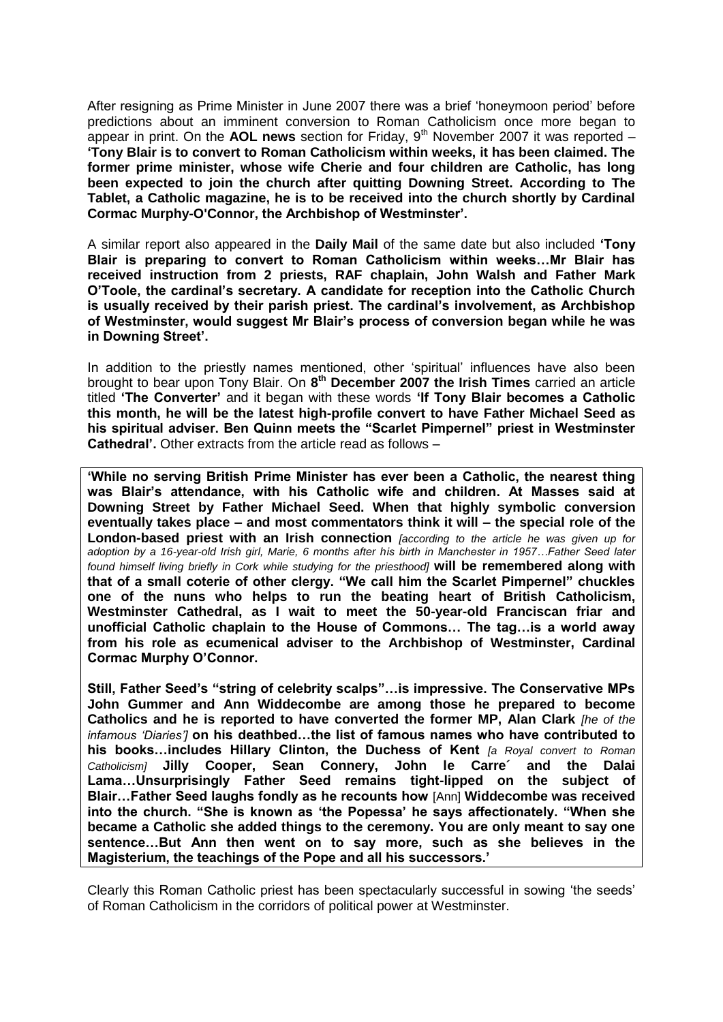After resigning as Prime Minister in June 2007 there was a brief 'honeymoon period' before predictions about an imminent conversion to Roman Catholicism once more began to appear in print. On the **AOL news** section for Friday,  $9<sup>th</sup>$  November 2007 it was reported – **'Tony Blair is to convert to Roman Catholicism within weeks, it has been claimed. The former prime minister, whose wife Cherie and four children are Catholic, has long been expected to join the church after quitting Downing Street. According to The Tablet, a Catholic magazine, he is to be received into the church shortly by Cardinal Cormac Murphy-O'Connor, the Archbishop of Westminster'.**

A similar report also appeared in the **Daily Mail** of the same date but also included **'Tony Blair is preparing to convert to Roman Catholicism within weeks…Mr Blair has received instruction from 2 priests, RAF chaplain, John Walsh and Father Mark O'Toole, the cardinal's secretary. A candidate for reception into the Catholic Church is usually received by their parish priest. The cardinal's involvement, as Archbishop of Westminster, would suggest Mr Blair's process of conversion began while he was in Downing Street'.**

In addition to the priestly names mentioned, other 'spiritual' influences have also been brought to bear upon Tony Blair. On **8 th December 2007 the Irish Times** carried an article titled **'The Converter'** and it began with these words **'If Tony Blair becomes a Catholic this month, he will be the latest high-profile convert to have Father Michael Seed as his spiritual adviser. Ben Quinn meets the "Scarlet Pimpernel" priest in Westminster Cathedral'.** Other extracts from the article read as follows –

**'While no serving British Prime Minister has ever been a Catholic, the nearest thing was Blair's attendance, with his Catholic wife and children. At Masses said at Downing Street by Father Michael Seed. When that highly symbolic conversion eventually takes place – and most commentators think it will – the special role of the London-based priest with an Irish connection** *[according to the article he was given up for adoption by a 16-year-old Irish girl, Marie, 6 months after his birth in Manchester in 1957…Father Seed later found himself living briefly in Cork while studying for the priesthood]* **will be remembered along with that of a small coterie of other clergy. "We call him the Scarlet Pimpernel" chuckles one of the nuns who helps to run the beating heart of British Catholicism, Westminster Cathedral, as I wait to meet the 50-year-old Franciscan friar and unofficial Catholic chaplain to the House of Commons… The tag…is a world away from his role as ecumenical adviser to the Archbishop of Westminster, Cardinal Cormac Murphy O'Connor.** 

**Still, Father Seed's "string of celebrity scalps"…is impressive. The Conservative MPs John Gummer and Ann Widdecombe are among those he prepared to become Catholics and he is reported to have converted the former MP, Alan Clark** *[he of the infamous 'Diaries']* **on his deathbed…the list of famous names who have contributed to his books…includes Hillary Clinton, the Duchess of Kent** *[a Royal convert to Roman Catholicism]* **Jilly Cooper, Sean Connery, John le Carre´ and the Dalai Lama…Unsurprisingly Father Seed remains tight-lipped on the subject of Blair…Father Seed laughs fondly as he recounts how** [Ann] **Widdecombe was received into the church. "She is known as 'the Popessa' he says affectionately. "When she became a Catholic she added things to the ceremony. You are only meant to say one sentence…But Ann then went on to say more, such as she believes in the Magisterium, the teachings of the Pope and all his successors.'**

Clearly this Roman Catholic priest has been spectacularly successful in sowing 'the seeds' of Roman Catholicism in the corridors of political power at Westminster.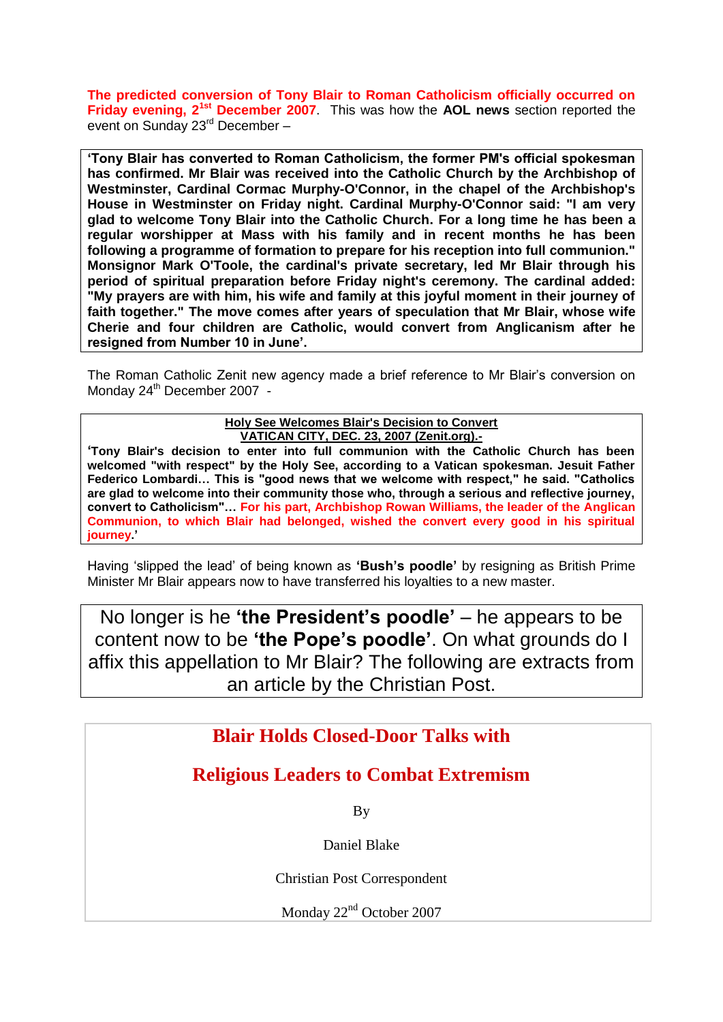**The predicted conversion of Tony Blair to Roman Catholicism officially occurred on Friday evening, 21st December 2007**. This was how the **AOL news** section reported the event on Sunday 23rd December –

**'Tony Blair has converted to Roman Catholicism, the former PM's official spokesman has confirmed. Mr Blair was received into the Catholic Church by the Archbishop of Westminster, Cardinal Cormac Murphy-O'Connor, in the chapel of the Archbishop's House in Westminster on Friday night. Cardinal Murphy-O'Connor said: "I am very glad to welcome Tony Blair into the Catholic Church. For a long time he has been a regular worshipper at Mass with his family and in recent months he has been following a programme of formation to prepare for his reception into full communion." Monsignor Mark O'Toole, the cardinal's private secretary, led Mr Blair through his period of spiritual preparation before Friday night's ceremony. The cardinal added: "My prayers are with him, his wife and family at this joyful moment in their journey of faith together." The move comes after years of speculation that Mr Blair, whose wife Cherie and four children are Catholic, would convert from Anglicanism after he resigned from Number 10 in June'.**

The Roman Catholic Zenit new agency made a brief reference to Mr Blair's conversion on Monday 24<sup>th</sup> December 2007 -

#### **Holy See Welcomes Blair's Decision to Convert VATICAN CITY, DEC. 23, 2007 (Zenit.org).-**

**'Tony Blair's decision to enter into full communion with the Catholic Church has been welcomed "with respect" by the Holy See, according to a Vatican spokesman. Jesuit Father Federico Lombardi… This is "good news that we welcome with respect," he said. "Catholics are glad to welcome into their community those who, through a serious and reflective journey, convert to Catholicism"… For his part, Archbishop Rowan Williams, the leader of the Anglican Communion, to which Blair had belonged, wished the convert every good in his spiritual journey.'**

Having 'slipped the lead' of being known as **'Bush's poodle'** by resigning as British Prime Minister Mr Blair appears now to have transferred his loyalties to a new master.

No longer is he **'the President's poodle'** – he appears to be content now to be **'the Pope's poodle'**. On what grounds do I affix this appellation to Mr Blair? The following are extracts from an article by the Christian Post.

# **Blair Holds Closed-Door Talks with**

# **Religious Leaders to Combat Extremism**

By

Daniel Blake

Christian Post Correspondent

Monday 22<sup>nd</sup> October 2007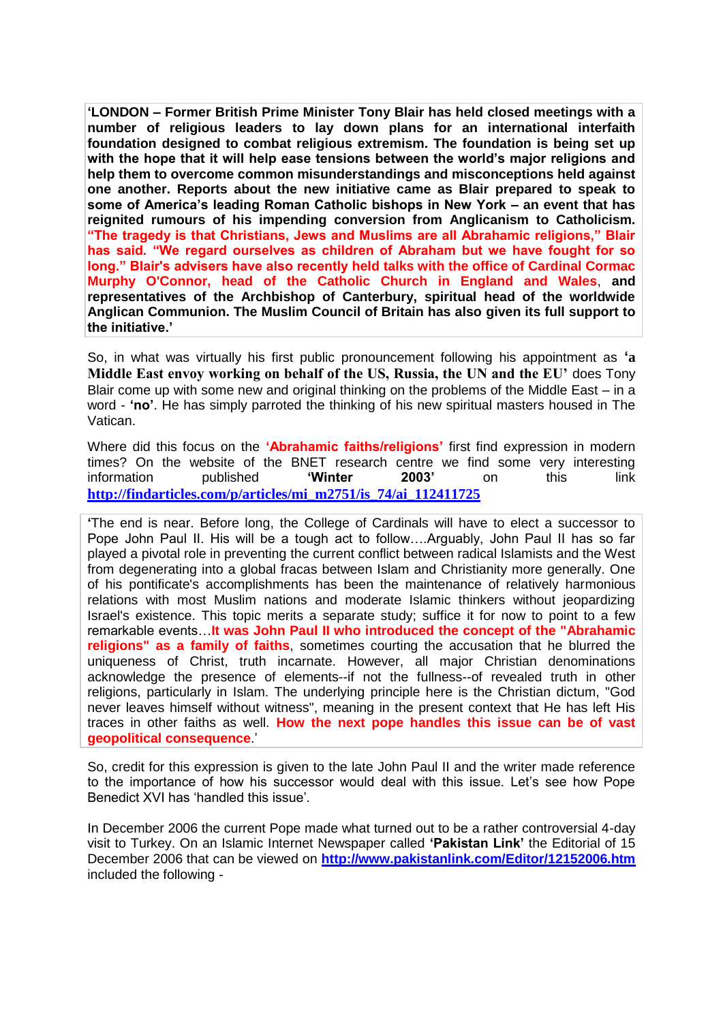**'LONDON – Former British Prime Minister Tony Blair has held closed meetings with a number of religious leaders to lay down plans for an international interfaith foundation designed to combat religious extremism. The foundation is being set up with the hope that it will help ease tensions between the world's major religions and help them to overcome common misunderstandings and misconceptions held against one another. Reports about the new initiative came as Blair prepared to speak to some of America's leading Roman Catholic bishops in New York – an event that has reignited rumours of his impending conversion from Anglicanism to Catholicism. "The tragedy is that Christians, Jews and Muslims are all Abrahamic religions," Blair has said. "We regard ourselves as children of Abraham but we have fought for so long." Blair's advisers have also recently held talks with the office of Cardinal Cormac Murphy O'Connor, head of the Catholic Church in England and Wales**, **and representatives of the Archbishop of Canterbury, spiritual head of the worldwide Anglican Communion. The Muslim Council of Britain has also given its full support to the initiative.'**

So, in what was virtually his first public pronouncement following his appointment as **'a Middle East envoy working on behalf of the US, Russia, the UN and the EU'** does Tony Blair come up with some new and original thinking on the problems of the Middle East – in a word - **'no'**. He has simply parroted the thinking of his new spiritual masters housed in The Vatican.

Where did this focus on the **'Abrahamic faiths/religions'** first find expression in modern times? On the website of the BNET research centre we find some very interesting information published **'Winter 2003'** on this link **[http://findarticles.com/p/articles/mi\\_m2751/is\\_74/ai\\_112411725](http://findarticles.com/p/articles/mi_m2751/is_74/ai_112411725)**

**'**The end is near. Before long, the College of Cardinals will have to elect a successor to Pope John Paul II. His will be a tough act to follow….Arguably, John Paul II has so far played a pivotal role in preventing the current conflict between radical Islamists and the West from degenerating into a global fracas between Islam and Christianity more generally. One of his pontificate's accomplishments has been the maintenance of relatively harmonious relations with most Muslim nations and moderate Islamic thinkers without jeopardizing Israel's existence. This topic merits a separate study; suffice it for now to point to a few remarkable events…**It was John Paul II who introduced the concept of the "Abrahamic religions" as a family of faiths**, sometimes courting the accusation that he blurred the uniqueness of Christ, truth incarnate. However, all major Christian denominations acknowledge the presence of elements--if not the fullness--of revealed truth in other religions, particularly in Islam. The underlying principle here is the Christian dictum, "God never leaves himself without witness", meaning in the present context that He has left His traces in other faiths as well. **How the next pope handles this issue can be of vast geopolitical consequence**.'

So, credit for this expression is given to the late John Paul II and the writer made reference to the importance of how his successor would deal with this issue. Let's see how Pope Benedict XVI has 'handled this issue'.

In December 2006 the current Pope made what turned out to be a rather controversial 4-day visit to Turkey. On an Islamic Internet Newspaper called **'Pakistan Link'** the Editorial of 15 December 2006 that can be viewed on **<http://www.pakistanlink.com/Editor/12152006.htm>** included the following -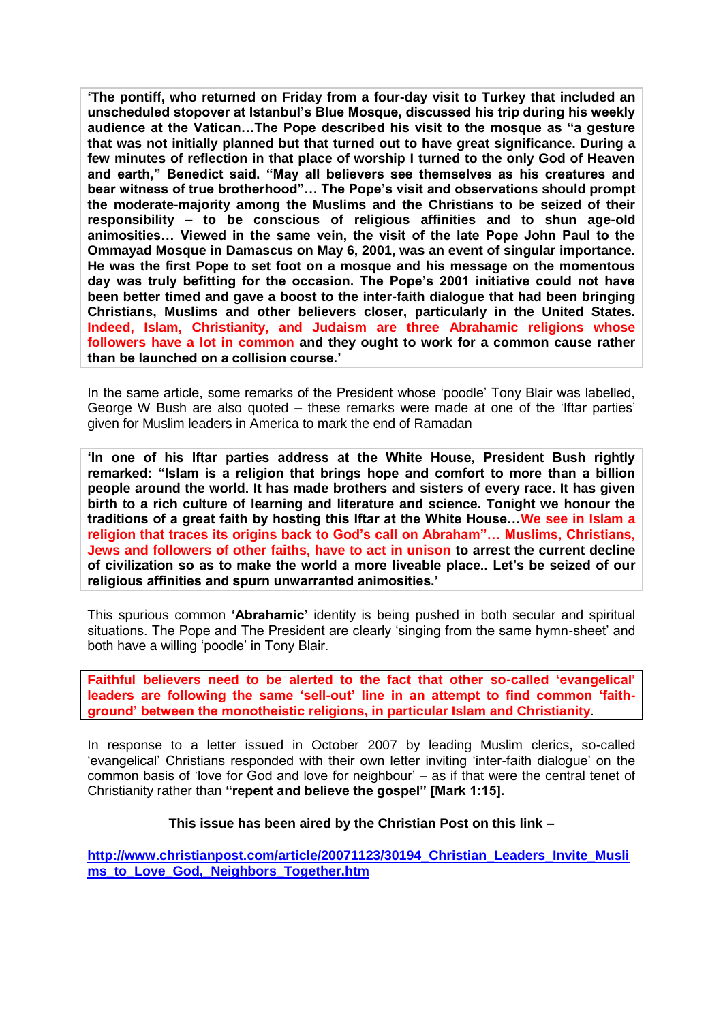**'The pontiff, who returned on Friday from a four-day visit to Turkey that included an unscheduled stopover at Istanbul's Blue Mosque, discussed his trip during his weekly audience at the Vatican…The Pope described his visit to the mosque as "a gesture that was not initially planned but that turned out to have great significance. During a few minutes of reflection in that place of worship I turned to the only God of Heaven and earth," Benedict said. "May all believers see themselves as his creatures and bear witness of true brotherhood"… The Pope's visit and observations should prompt the moderate-majority among the Muslims and the Christians to be seized of their responsibility – to be conscious of religious affinities and to shun age-old animosities… Viewed in the same vein, the visit of the late Pope John Paul to the Ommayad Mosque in Damascus on May 6, 2001, was an event of singular importance. He was the first Pope to set foot on a mosque and his message on the momentous day was truly befitting for the occasion. The Pope's 2001 initiative could not have been better timed and gave a boost to the inter-faith dialogue that had been bringing Christians, Muslims and other believers closer, particularly in the United States. Indeed, Islam, Christianity, and Judaism are three Abrahamic religions whose followers have a lot in common and they ought to work for a common cause rather than be launched on a collision course.'**

In the same article, some remarks of the President whose 'poodle' Tony Blair was labelled, George W Bush are also quoted – these remarks were made at one of the 'Iftar parties' given for Muslim leaders in America to mark the end of Ramadan

**'In one of his Iftar parties address at the White House, President Bush rightly remarked: "Islam is a religion that brings hope and comfort to more than a billion people around the world. It has made brothers and sisters of every race. It has given birth to a rich culture of learning and literature and science. Tonight we honour the traditions of a great faith by hosting this Iftar at the White House…We see in Islam a religion that traces its origins back to God's call on Abraham"… Muslims, Christians, Jews and followers of other faiths, have to act in unison to arrest the current decline of civilization so as to make the world a more liveable place.. Let's be seized of our religious affinities and spurn unwarranted animosities.'**

This spurious common **'Abrahamic'** identity is being pushed in both secular and spiritual situations. The Pope and The President are clearly 'singing from the same hymn-sheet' and both have a willing 'poodle' in Tony Blair.

**Faithful believers need to be alerted to the fact that other so-called 'evangelical' leaders are following the same 'sell-out' line in an attempt to find common 'faithground' between the monotheistic religions, in particular Islam and Christianity**.

In response to a letter issued in October 2007 by leading Muslim clerics, so-called 'evangelical' Christians responded with their own letter inviting 'inter-faith dialogue' on the common basis of 'love for God and love for neighbour' – as if that were the central tenet of Christianity rather than **"repent and believe the gospel" [Mark 1:15].**

#### **This issue has been aired by the Christian Post on this link –**

**[http://www.christianpost.com/article/20071123/30194\\_Christian\\_Leaders\\_Invite\\_Musli](http://www.christianpost.com/article/20071123/30194_Christian_Leaders_Invite_Muslims_to_Love_God,_Neighbors_Together.htm) [ms\\_to\\_Love\\_God,\\_Neighbors\\_Together.htm](http://www.christianpost.com/article/20071123/30194_Christian_Leaders_Invite_Muslims_to_Love_God,_Neighbors_Together.htm)**